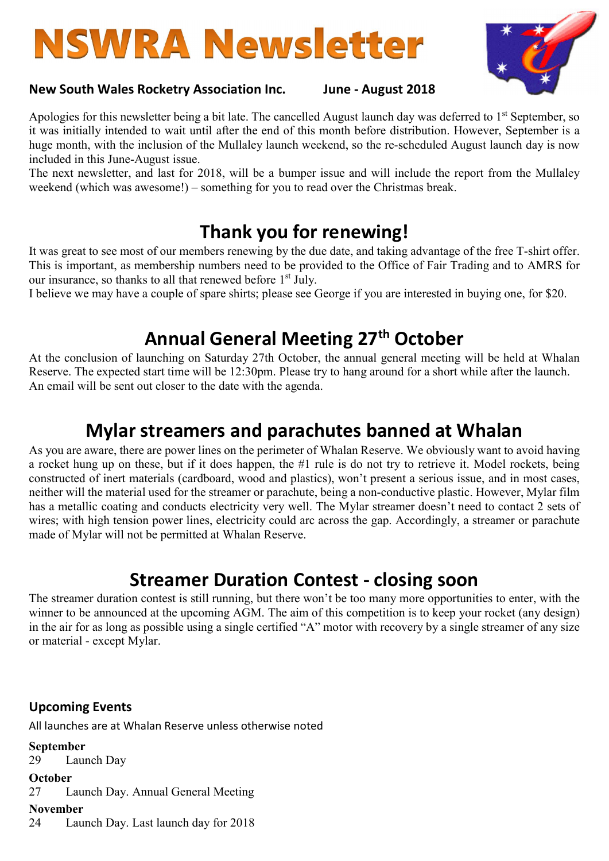# **NSWRA Newsletter**



#### New South Wales Rocketry Association Inc. June - August 2018

Apologies for this newsletter being a bit late. The cancelled August launch day was deferred to 1<sup>st</sup> September, so it was initially intended to wait until after the end of this month before distribution. However, September is a huge month, with the inclusion of the Mullaley launch weekend, so the re-scheduled August launch day is now included in this June-August issue.

The next newsletter, and last for 2018, will be a bumper issue and will include the report from the Mullaley weekend (which was awesome!) – something for you to read over the Christmas break.

## Thank you for renewing!

It was great to see most of our members renewing by the due date, and taking advantage of the free T-shirt offer. This is important, as membership numbers need to be provided to the Office of Fair Trading and to AMRS for our insurance, so thanks to all that renewed before 1<sup>st</sup> July.

I believe we may have a couple of spare shirts; please see George if you are interested in buying one, for \$20.

## Annual General Meeting 27<sup>th</sup> October

At the conclusion of launching on Saturday 27th October, the annual general meeting will be held at Whalan Reserve. The expected start time will be 12:30pm. Please try to hang around for a short while after the launch. An email will be sent out closer to the date with the agenda.

## Mylar streamers and parachutes banned at Whalan

As you are aware, there are power lines on the perimeter of Whalan Reserve. We obviously want to avoid having a rocket hung up on these, but if it does happen, the #1 rule is do not try to retrieve it. Model rockets, being constructed of inert materials (cardboard, wood and plastics), won't present a serious issue, and in most cases, neither will the material used for the streamer or parachute, being a non-conductive plastic. However, Mylar film has a metallic coating and conducts electricity very well. The Mylar streamer doesn't need to contact 2 sets of wires; with high tension power lines, electricity could arc across the gap. Accordingly, a streamer or parachute made of Mylar will not be permitted at Whalan Reserve.

## Streamer Duration Contest - closing soon

The streamer duration contest is still running, but there won't be too many more opportunities to enter, with the winner to be announced at the upcoming AGM. The aim of this competition is to keep your rocket (any design) in the air for as long as possible using a single certified "A" motor with recovery by a single streamer of any size or material - except Mylar.

#### Upcoming Events

All launches are at Whalan Reserve unless otherwise noted

September 29 Launch Day **October** 27 Launch Day. Annual General Meeting November

24 Launch Day. Last launch day for 2018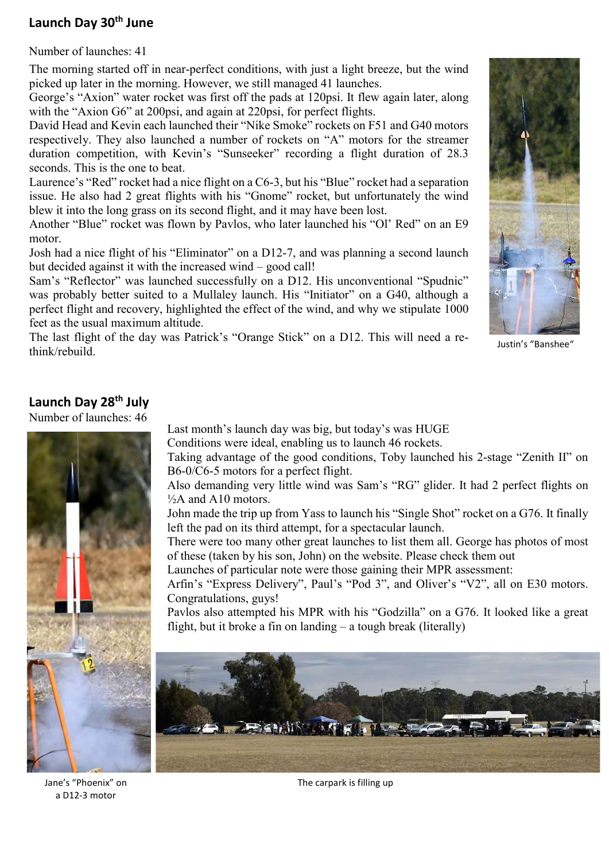#### Launch Day 30<sup>th</sup> June

Number of launches: 41

The morning started off in near-perfect conditions, with just a light breeze, but the wind<br>picked up later in the morning. However, we still managed 41 launches picked up later in the morning. However, we still managed 41 launches.

George's "Axion" water rocket was first off the pads at 120psi. It flew again later, along with the "Axion G6" at 200psi, and again at 220psi, for perfect flights.

David Head and Kevin each launched their "Nike Smoke" rockets on F51 and G40 motors respectively. They also launched a number of rockets on "A" motors for the streamer duration competition, with Kevin's "Sunseeker" recording a flight duration of 28.3 seconds. This is the one to beat.

Laurence's "Red" rocket had a nice flight on a C6-3, but his "Blue" rocket had a separation issue. He also had 2 great flights with his "Gnome" rocket, but unfortunately the wind blew it into the long grass on its second flight, and it may have been lost.

Another "Blue" rocket was flown by Pavlos, who later launched his "Ol' Red" on an E9 motor.

Josh had a nice flight of his "Eliminator" on a D12-7, and was planning a second launch but decided against it with the increased wind – good call!

Sam's "Reflector" was launched successfully on a D12. His unconventional "Spudnic" was probably better suited to a Mullaley launch. His "Initiator" on a G40, although a perfect flight and recovery, highlighted the effect of the wind, and why we stipulate 1000 feet as the usual maximum altitude.

The last flight of the day was Patrick's "Orange Stick" on a D12. This will need a rethink/rebuild.



Justin's "Banshee"

## Launch Day 28<sup>th</sup> July

Number of launches: 46



Conditions were ideal, enabling us to launch 46 rockets.

Taking advantage of the good conditions, Toby launched his 2-stage "Zenith II" on B6-0/C6-5 motors for a perfect flight.

Also demanding very little wind was Sam's "RG" glider. It had 2 perfect flights on  $\frac{1}{2}$ A and A10 motors.

John made the trip up from Yass to launch his "Single Shot" rocket on a G76. It finally left the pad on its third attempt, for a spectacular launch.

There were too many other great launches to list them all. George has photos of most of these (taken by his son, John) on the website. Please check them out

Launches of particular note were those gaining their MPR assessment:

Arfin's "Express Delivery", Paul's "Pod 3", and Oliver's "V2", all on E30 motors. Congratulations, guys!

Pavlos also attempted his MPR with his "Godzilla" on a G76. It looked like a great flight, but it broke a fin on landing – a tough break (literally)



The carpark is filling up